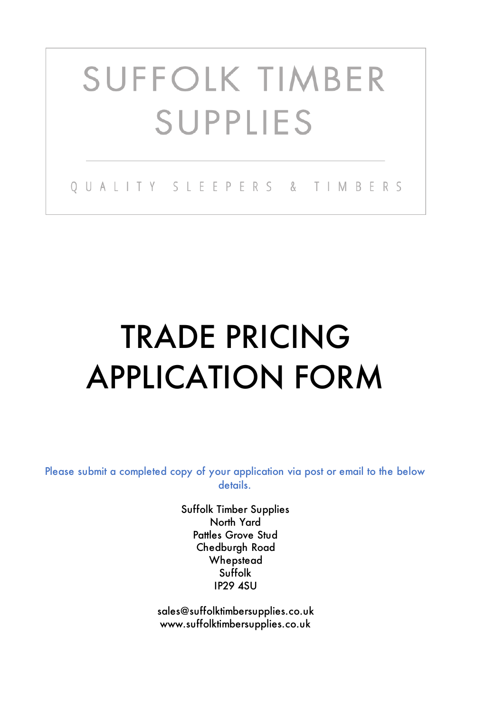# **SUFFOLK TIMBER SUPPLIES**

OUALITY SLEEPERS & TIMBERS

## TRADE PRICING APPLICATION FORM

Please submit a completed copy of your application via post or email to the below details.

> Suffolk IP29 4SU Suffolk Timber Supplies North Yard Pattles Grove Stud Chedburgh Road **Whepstead**

sales@suffolktimbersupplies.co.uk www.suffolktimbersupplies.co.uk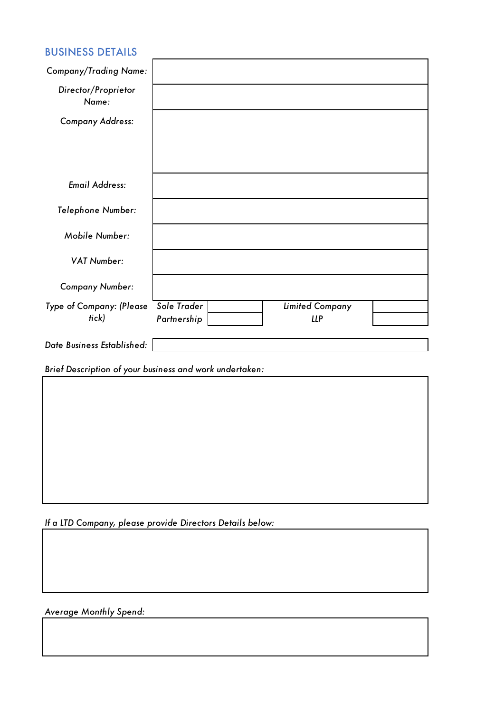### BUSINESS DETAILS

| <b>Company/Trading Name:</b> |             |                        |  |
|------------------------------|-------------|------------------------|--|
| Director/Proprietor<br>Name: |             |                        |  |
| <b>Company Address:</b>      |             |                        |  |
|                              |             |                        |  |
|                              |             |                        |  |
| <b>Email Address:</b>        |             |                        |  |
| Telephone Number:            |             |                        |  |
| Mobile Number:               |             |                        |  |
| <b>VAT Number:</b>           |             |                        |  |
| <b>Company Number:</b>       |             |                        |  |
| Type of Company: (Please     | Sole Trader | <b>Limited Company</b> |  |
| tick)                        | Partnership | <b>LLP</b>             |  |
| Date Business Established:   |             |                        |  |

*Brief Description of your business and work undertaken:*

*If a LTD Company, please provide Directors Details below:*

*Average Monthly Spend:*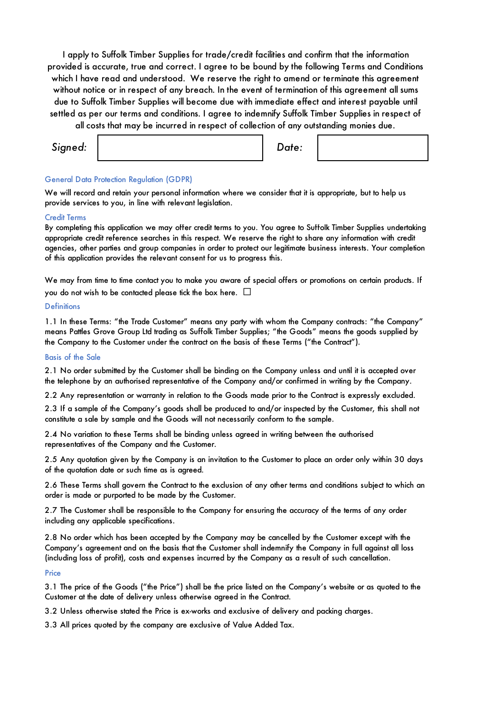I apply to Suffolk Timber Supplies for trade/credit facilities and confirm that the information provided is accurate, true and correct. I agree to be bound by the following Terms and Conditions which I have read and understood. We reserve the right to amend or terminate this agreement without notice or in respect of any breach. In the event of termination of this agreement all sums due to Suffolk Timber Supplies will become due with immediate effect and interest payable until settled as per our terms and conditions. I agree to indemnify Suffolk Timber Supplies in respect of

all costs that may be incurred in respect of collection of any outstanding monies due.

| Signed: |  | Date: |  |
|---------|--|-------|--|
|---------|--|-------|--|

#### General Data Protection Regulation (GDPR)

We will record and retain your personal information where we consider that it is appropriate, but to help us provide services to you, in line with relevant legislation.

#### Credit Terms

By completing this application we may offer credit terms to you. You agree to Suffolk Timber Supplies undertaking appropriate credit reference searches in this respect. We reserve the right to share any information with credit agencies, other parties and group companies in order to protect our legitimate business interests. Your completion of this application provides the relevant consent for us to progress this.

We may from time to time contact you to make you aware of special offers or promotions on certain products. If you do not wish to be contacted please tick the box here.  $\Box$ 

#### **Definitions**

1.1 In these Terms: "the Trade Customer" means any party with whom the Company contracts: "the Company" means Pattles Grove Group Ltd trading as Suffolk Timber Supplies; "the Goods" means the goods supplied by the Company to the Customer under the contract on the basis of these Terms ("the Contract").

#### Basis of the Sale

2.1 No order submitted by the Customer shall be binding on the Company unless and until it is accepted over the telephone by an authorised representative of the Company and/or confirmed in writing by the Company.

2.2 Any representation or warranty in relation to the Goods made prior to the Contract is expressly excluded.

2.3 If a sample of the Company's goods shall be produced to and/or inspected by the Customer, this shall not constitute a sale by sample and the Goods will not necessarily conform to the sample.

2.4 No variation to these Terms shall be binding unless agreed in writing between the authorised representatives of the Company and the Customer.

2.5 Any quotation given by the Company is an invitation to the Customer to place an order only within 30 days of the quotation date or such time as is agreed.

2.6 These Terms shall govern the Contract to the exclusion of any other terms and conditions subject to which an order is made or purported to be made by the Customer.

2.7 The Customer shall be responsible to the Company for ensuring the accuracy of the terms of any order including any applicable specifications.

2.8 No order which has been accepted by the Company may be cancelled by the Customer except with the Company's agreement and on the basis that the Customer shall indemnify the Company in full against all loss (including loss of profit), costs and expenses incurred by the Company as a result of such cancellation.

#### **Price**

3.1 The price of the Goods ("the Price") shall be the price listed on the Company's website or as quoted to the Customer at the date of delivery unless otherwise agreed in the Contract.

3.2 Unless otherwise stated the Price is ex-works and exclusive of delivery and packing charges.

3.3 All prices quoted by the company are exclusive of Value Added Tax.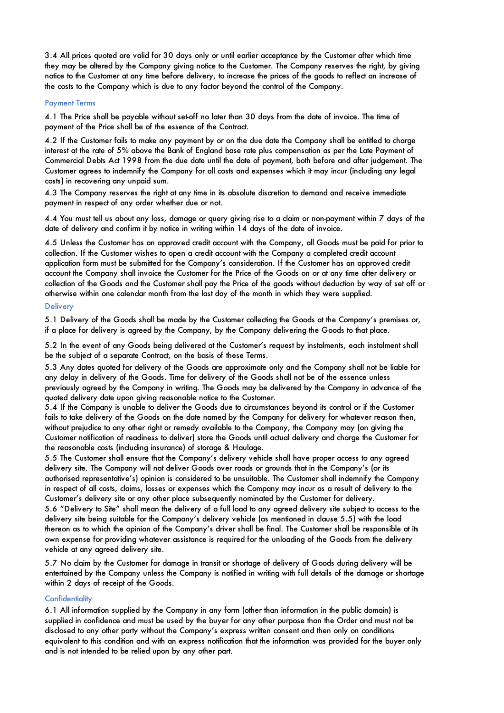3.4 All prices quoted are valid for 30 days only or until earlier acceptance by the Customer after which time they may be altered by the Company giving notice to the Customer. The Company reserves the right, by giving notice to the Customer at any time before delivery, to increase the prices of the goods to reflect an increase of the costs to the Company which is due to any factor beyond the control of the Company.

#### Payment Terms

4.1 The Price shall be payable without set-off no later than 30 days from the date of invoice. The time of payment of the Price shall be of the essence of the Contract.

4.2 If the Customer fails to make any payment by or on the due date the Company shall be entitled to charge interest at the rate of 5% above the Bank of England base rate plus compensation as per the Late Payment of Commercial Debts Act 1998 from the due date until the date of payment, both before and after judgement. The Customer agrees to indemnify the Company for all costs and expenses which it may incur (including any legal costs) in recovering any unpaid sum.

4.3 The Company reserves the right at any time in its absolute discretion to demand and receive immediate payment in respect of any order whether due or not.

4.4 You must tell us about any loss, damage or query giving rise to a claim or non-payment within 7 days of the date of delivery and confirm it by notice in writing within 14 days of the date of invoice.

4.5 Unless the Customer has an approved credit account with the Company, all Goods must be paid for prior to collection. If the Customer wishes to open a credit account with the Company a completed credit account application form must be submitted for the Company's consideration. If the Customer has an approved credit account the Company shall invoice the Customer for the Price of the Goods on or at any time after delivery or collection of the Goods and the Customer shall pay the Price of the goods without deduction by way of set off or otherwise within one calendar month from the last day of the month in which they were supplied.

#### **Delivery**

5.1 Delivery of the Goods shall be made by the Customer collecting the Goods at the Company's premises or, if a place for delivery is agreed by the Company, by the Company delivering the Goods to that place.

5.2 In the event of any Goods being delivered at the Customer's request by instalments, each instalment shall be the subject of a separate Contract, on the basis of these Terms.

5.3 Any dates quoted for delivery of the Goods are approximate only and the Company shall not be liable for any delay in delivery of the Goods. Time for delivery of the Goods shall not be of the essence unless previously agreed by the Company in writing. The Goods may be delivered by the Company in advance of the quoted delivery date upon giving reasonable notice to the Customer.

5.4 If the Company is unable to deliver the Goods due to circumstances beyond its control or if the Customer fails to take delivery of the Goods on the date named by the Company for delivery for whatever reason then, without prejudice to any other right or remedy available to the Company, the Company may (on giving the Customer notification of readiness to deliver) store the Goods until actual delivery and charge the Customer for the reasonable costs (including insurance) of storage & Haulage.

5.5 The Customer shall ensure that the Company's delivery vehicle shall have proper access to any agreed delivery site. The Company will not deliver Goods over roads or grounds that in the Company's (or its authorised representative's) opinion is considered to be unsuitable. The Customer shall indemnify the Company in respect of all costs, claims, losses or expenses which the Company may incur as a result of delivery to the Customer's delivery site or any other place subsequently nominated by the Customer for delivery.

5.6 "Delivery to Site" shall mean the delivery of a full load to any agreed delivery site subject to access to the delivery site being suitable for the Company's delivery vehicle (as mentioned in clause 5.5) with the load thereon as to which the opinion of the Company's driver shall be final. The Customer shall be responsible at its own expense for providing whatever assistance is required for the unloading of the Goods from the delivery vehicle at any agreed delivery site.

5.7 No claim by the Customer for damage in transit or shortage of delivery of Goods during delivery will be entertained by the Company unless the Company is notified in writing with full details of the damage or shortage within 2 days of receipt of the Goods.

#### **Confidentiality**

6.1 All information supplied by the Company in any form (other than information in the public domain) is supplied in confidence and must be used by the buyer for any other purpose than the Order and must not be disclosed to any other party without the Company's express written consent and then only on conditions equivalent to this condition and with an express notification that the information was provided for the buyer only and is not intended to be relied upon by any other part.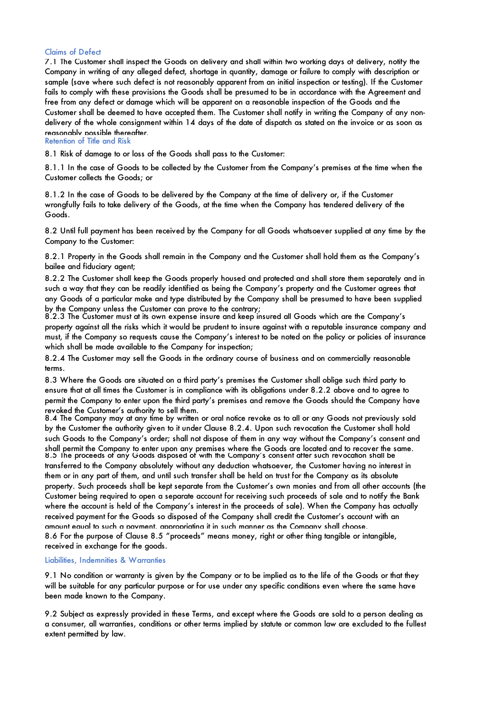#### Claims of Defect

Retention of Title and Risk 7.1 The Customer shall inspect the Goods on delivery and shall within two working days of delivery, notify the Company in writing of any alleged defect, shortage in quantity, damage or failure to comply with description or sample (save where such defect is not reasonably apparent from an initial inspection or testing). If the Customer fails to comply with these provisions the Goods shall be presumed to be in accordance with the Agreement and free from any defect or damage which will be apparent on a reasonable inspection of the Goods and the Customer shall be deemed to have accepted them. The Customer shall notify in writing the Company of any nondelivery of the whole consignment within 14 days of the date of dispatch as stated on the invoice or as soon as reasonably possible thereafter.

8.1 Risk of damage to or loss of the Goods shall pass to the Customer:

8.1.1 In the case of Goods to be collected by the Customer from the Company's premises at the time when the Customer collects the Goods; or

8.1.2 In the case of Goods to be delivered by the Company at the time of delivery or, if the Customer wrongfully fails to take delivery of the Goods, at the time when the Company has tendered delivery of the Goods.

8.2 Until full payment has been received by the Company for all Goods whatsoever supplied at any time by the Company to the Customer:

8.2.1 Property in the Goods shall remain in the Company and the Customer shall hold them as the Company's bailee and fiduciary agent;

8.2.2 The Customer shall keep the Goods properly housed and protected and shall store them separately and in such a way that they can be readily identified as being the Company's property and the Customer agrees that any Goods of a particular make and type distributed by the Company shall be presumed to have been supplied by the Company unless the Customer can prove to the contrary;

8.2.3 The Customer must at its own expense insure and keep insured all Goods which are the Company's property against all the risks which it would be prudent to insure against with a reputable insurance company and must, if the Company so requests cause the Company's interest to be noted on the policy or policies of insurance which shall be made available to the Company for inspection;

8.2.4 The Customer may sell the Goods in the ordinary course of business and on commercially reasonable terms.

8.3 Where the Goods are situated on a third party's premises the Customer shall oblige such third party to ensure that at all times the Customer is in compliance with its obligations under 8.2.2 above and to agree to permit the Company to enter upon the third party's premises and remove the Goods should the Company have revoked the Customer's authority to sell them.

8.5 The proceeds of any Goods disposed of with the Company's consent after such revocation shall be transferred to the Company absolutely without any deduction whatsoever, the Customer having no interest in them or in any part of them, and until such transfer shall be held on trust for the Company as its absolute property. Such proceeds shall be kept separate from the Customer's own monies and from all other accounts (the Customer being required to open a separate account for receiving such proceeds of sale and to notify the Bank where the account is held of the Company's interest in the proceeds of sale). When the Company has actually received payment for the Goods so disposed of the Company shall credit the Customer's account with an amount equal to such a payment, appropriating it in such manner as the Company shall choose. 8.6 For the purpose of Clause 8.5 "proceeds" means money, right or other thing tangible or intangible, received in exchange for the goods. 8.4 The Company may at any time by written or oral notice revoke as to all or any Goods not previously sold by the Customer the authority given to it under Clause 8.2.4. Upon such revocation the Customer shall hold such Goods to the Company's order; shall not dispose of them in any way without the Company's consent and shall permit the Company to enter upon any premises where the Goods are located and to recover the same.

#### Liabilities, Indemnities & Warranties

9.1 No condition or warranty is given by the Company or to be implied as to the life of the Goods or that they will be suitable for any particular purpose or for use under any specific conditions even where the same have been made known to the Company.

9.2 Subject as expressly provided in these Terms, and except where the Goods are sold to a person dealing as a consumer, all warranties, conditions or other terms implied by statute or common law are excluded to the fullest extent permitted by law.